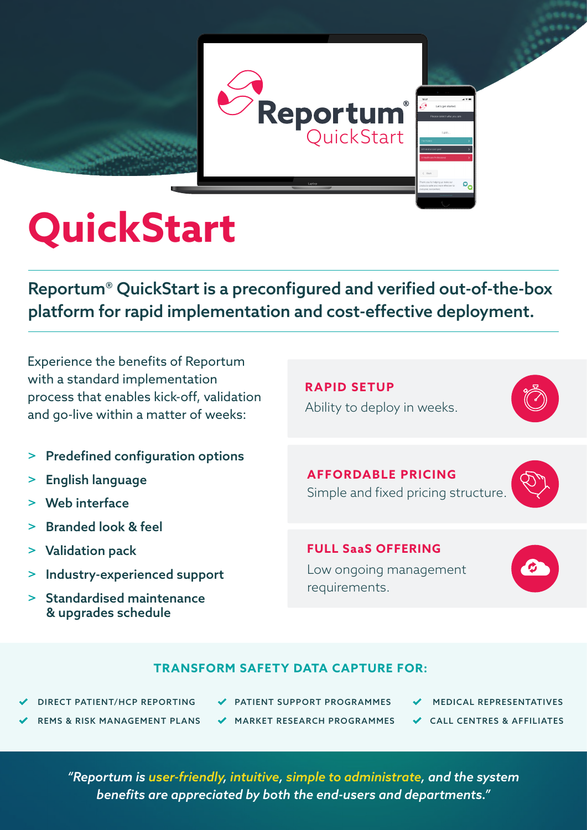

# **QuickStart**

Reportum® QuickStart is a preconfigured and verified out-of-the-box platform for rapid implementation and cost-effective deployment.

Experience the benefits of Reportum with a standard implementation process that enables kick-off, validation and go-live within a matter of weeks:

- > Predefined configuration options
- > English language
- > Web interface
- > Branded look & feel
- > Validation pack
- > Industry-experienced support
- Standardised maintenance & upgrades schedule

**RAPID SETUP** Ability to deploy in weeks.

**AFFORDABLE PRICING** Simple and fixed pricing structure.

**FULL SaaS OFFERING**  Low ongoing management requirements.



### **TRANSFORM SAFETY DATA CAPTURE FOR:**

DIRECT PATIENT/HCP REPORTING

- PATIENT SUPPORT PROGRAMMES
- MEDICAL REPRESENTATIVES
- REMS & RISK MANAGEMENT PLANS
- MARKET RESEARCH PROGRAMMES
- 
- CALL CENTRES & AFFILIATES

*"Reportum is user-friendly, intuitive, simple to administrate, and the system benefits are appreciated by both the end-users and departments."*